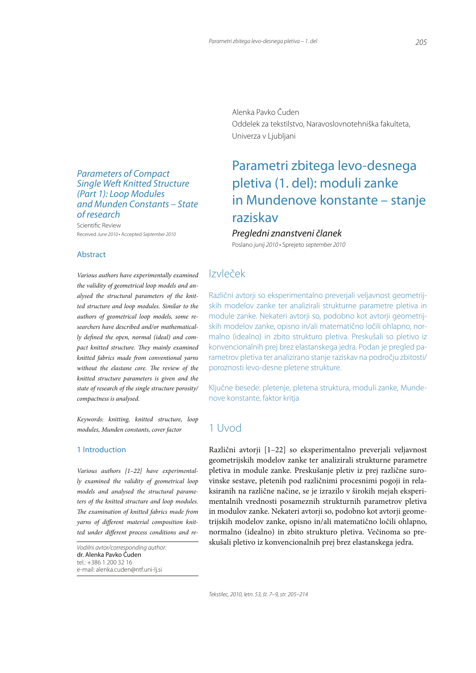## Parameters of Compact Single Weft Knitted Structure (Part 1): Loop Modules and Munden Constants – State of research

Scientific Review 3FDFJWFE*June 2010* r"DDFQUFE*September 2010*

#### **Abstract**

Various authors have experimentally examined the validity of geometrical loop models and analysed the structural parameters of the knitted structure and loop modules. Similar to the authors of geometrical loop models, some researchers have described and/or mathematically defined the open, normal (ideal) and compact knitted structure. They mainly examined knitted fabrics made from conventional yarns without the elastane core. The review of the knitted structure parameters is given and the state of research of the single structure porosity/ compactness is analysed.

Keywords: knitting, knitted structure, loop modules, Munden constants, cover factor

#### 1 Introduction

Various authors [1–22] have experimentally examined the validity of geometrical loop models and analysed the structural parameters of the knitted structure and loop modules. The examination of knitted fabrics made from yarns of different material composition knitted under different process conditions and re-

*Vodilni avtor/corresponding author:* dr. Alenka Pavko Čuden tel.: +386 1 200 32 16 e-mail: alenka.cuden@ntf.uni-lj.si

Alenka Pavko Čuden Oddelek za tekstilstvo, Naravoslovnotehniška fakulteta, Univerza v Ljubljani

# Parametri zbitega levo-desnega pletiva (1. del): moduli zanke in Mundenove konstante – stanje raziskav

## Pregledni znanstveni članek

Poslano junij 2010 · Sprejeto september 2010

## $IzV$  $e^{\lambda}ek$

Različni avtorji so eksperimentalno preverjali veljavnost geometrijskih modelov zanke ter analizirali strukturne parametre pletiva in module zanke. Nekateri avtorji so, podobno kot avtorji geometrijskih modelov zanke, opisno in/ali matematično ločili ohlapno, normalno (idealno) in zbito strukturo pletiva. Preskušali so pletivo iz konvencionalnih prej brez elastanskega jedra. Podan je pregled parametrov pletiva ter analizirano stanje raziskav na področju zbitosti/ poroznosti levo-desne pletene strukture.

Ključne besede: pletenje, pletena struktura, moduli zanke, Mundenove konstante, faktor kritja

## 1 Uvod

Različni avtorji [1-22] so eksperimentalno preverjali veljavnost geometrijskih modelov zanke ter analizirali strukturne parametre pletiva in module zanke. Preskušanje pletiv iz prej različne surovinske sestave, pletenih pod različnimi procesnimi pogoji in relaksiranih na različne načine, se je izrazilo v širokih mejah eksperimentalnih vrednosti posameznih strukturnih parametrov pletiva in modulov zanke. Nekateri avtorji so, podobno kot avtorji geometrijskih modelov zanke, opisno in/ali matematično ločili ohlapno, normalno (idealno) in zbito strukturo pletiva. Večinoma so preskušali pletivo iz konvencionalnih prej brez elastanskega jedra.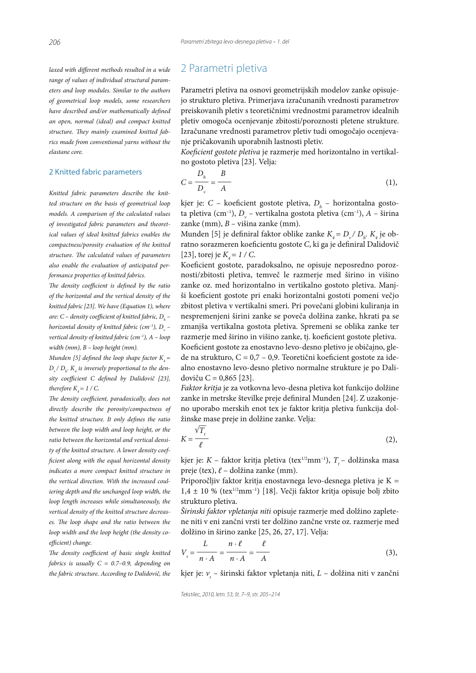laxed with different methods resulted in a wide range of values of individual structural parameters and loop modules. Similar to the authors of geometrical loop models, some researchers have described and/or mathematically defined an open, normal (ideal) and compact knitted structure. They mainly examined knitted fabrics made from conventional yarns without the elastane core.

#### 2 Knitted fabric parameters

Knitted fabric parameters describe the knitted structure on the basis of geometrical loop models. A comparison of the calculated values of investigated fabric parameters and theoretical values of ideal knitted fabrics enables the compactness/porosity evaluation of the knitted structure. The calculated values of parameters also enable the evaluation of anticipated performance properties of knitted fabrics.

The density coefficient is defined by the ratio of the horizontal and the vertical density of the knitted fabric [23]. We have (Equation 1), where are: C – density coefficient of knitted fabric,  $D_{_{h}}$  – horizontal density of knitted fabric (cm<sup>-1</sup>), D<sub>v</sub> – vertical density of knitted fabric ( $cm^{-1}$ ), A - loop width (mm), B – loop height (mm).

Munden [5] defined the loop shape factor  $K_4 =$  $D_{\nu}$ / $D_{h}$ .  $K_{4}$  is inversely proportional to the density coefficient C defined by Dalidovič [23], therefore  $K<sub>a</sub> = 1 / C$ .

The density coefficient, paradoxically, does not directly describe the porosity/compactness of the knitted structure. It only defines the ratio between the loop width and loop height, or the ratio between the horizontal and vertical density of the knitted structure. A lower density coef cient along with the equal horizontal density indicates a more compact knitted structure in the vertical direction. With the increased couliering depth and the unchanged loop width, the loop length increases while simultaneously, the vertical density of the knitted structure decreases. The loop shape and the ratio between the loop width and the loop height (the density coefficient) change.

The density coefficient of basic single knitted fabrics is usually  $C = 0.7$ -0.9, depending on the fabric structure. According to Dalidovič, the

## 2 Parametri pletiva

Parametri pletiva na osnovi geometrijskih modelov zanke opisujejo strukturo pletiva. Primerjava izračunanih vrednosti parametrov preiskovanih pletiv s teoretičnimi vrednostmi parametrov idealnih pletiv omogoča ocenjevanje zbitosti/poroznosti pletene strukture. Izračunane vrednosti parametrov pletiv tudi omogočajo ocenjevanje pričakovanih uporabnih lastnosti pletiv.

Koeficient gostote pletiva je razmerje med horizontalno in vertikalno gostoto pletiva [23]. Velja:

$$
C = \frac{D_h}{D_v} = \frac{B}{A} \tag{1}
$$

kjer je: C – koeficient gostote pletiva,  $D_h$  – horizontalna gostota pletiva (cm<sup>-1</sup>),  $D_v$  – vertikalna gostota pletiva (cm<sup>-1</sup>), A – širina zanke (mm),  $B$  – višina zanke (mm).

Munden [5] je definiral faktor oblike zanke  $K_4 = D_{\nu} / D_h$ .  $K_4$  je obratno sorazmeren koeficientu gostote C, ki ga je definiral Dalidovič [23], torej je  $K_a = 1 / C$ .

Koeficient gostote, paradoksalno, ne opisuje neposredno poroznosti/zbitosti pletiva, temveč le razmerje med širino in višino zanke oz. med horizontalno in vertikalno gostoto pletiva. Manjši koeficient gostote pri enaki horizontalni gostoti pomeni večjo zbitost pletiva v vertikalni smeri. Pri povečani globini kuliranja in nespremenjeni širini zanke se poveča dolžina zanke, hkrati pa se zmanjša vertikalna gostota pletiva. Spremeni se oblika zanke ter razmerje med širino in višino zanke, tj. koeficient gostote pletiva. Koeficient gostote za enostavno levo-desno pletivo je običajno, glede na strukturo,  $C = 0.7 - 0.9$ . Teoretični koeficient gostote za idealno enostavno levo-desno pletivo normalne strukture je po Dalidoviču  $C = 0,865$  [23].

Faktor kritja je za votkovna levo-desna pletiva kot funkcijo dolžine zanke in metrske številke preje definiral Munden [24]. Z uzakonjeno uporabo merskih enot tex je faktor kritja pletiva funkcija dolžinske mase preje in dolžine zanke. Velja:

$$
K = \frac{\sqrt{T_t}}{\ell} \tag{2}
$$

kjer je:  $K$  – faktor kritja pletiva (tex $^{1/2}$ mm $^{-1}$ ),  $T_t$  – dolžinska masa preje (tex),  $\ell$  – dolžina zanke (mm).

Priporočljiv faktor kritja enostavnega levo-desnega pletiva je  $K =$  $1,4 \pm 10$  % (tex<sup>1/2</sup>mm<sup>-1</sup>) [18]. Večji faktor kritja opisuje bolj zbito strukturo pletiva.

Širinski faktor vpletanja niti opisuje razmerje med dolžino zapletene niti v eni zančni vrsti ter dolžino zančne vrste oz. razmerje med dolžino in širino zanke [25, 26, 27, 17]. Velja:

$$
V_s = \frac{L}{n \cdot A} = \frac{n \cdot \ell}{n \cdot A} = \frac{\ell}{A}
$$
 (3),

kjer je:  $v_{\rm s}$  – širinski faktor vpletanja niti,  $L$  – dolžina niti v zančni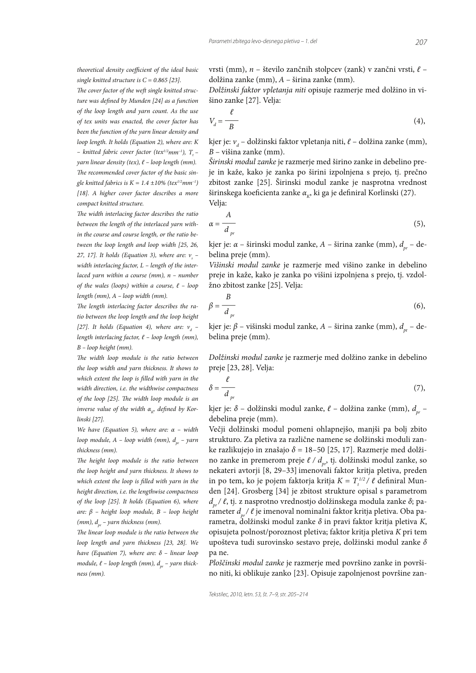$\overline{\rho}$ 

 $\overline{a}$ 

theoretical density coefficient of the ideal basic single knitted structure is  $C = 0.865$  [23].

The cover factor of the weft single knitted structure was defined by Munden [24] as a function of the loop length and yarn count. As the use of tex units was enacted, the cover factor has been the function of the yarn linear density and loop length. It holds (Equation 2), where are:  $K$ - knitted fabric cover factor (tex<sup>1/2</sup>mm<sup>-1</sup>), T<sub>t</sub>yarn linear density (tex),  $\ell$  - loop length (mm). The recommended cover factor of the basic single knitted fabrics is  $K = 1.4 \pm 10\%$  (tex<sup>1/2</sup>mm<sup>-1</sup>) [18]. A higher cover factor describes a more compact knitted structure.

The width interlacing factor describes the ratio between the length of the interlaced yarn within the course and course length, or the ratio between the loop length and loop width [25, 26, 27, 17]. It holds (Equation 3), where are:  $v_{\rm s}$  width interlacing factor,  $L$  – length of the interlaced yarn within a course (mm),  $n$  - number of the wales (loops) within a course,  $\ell$  - loop length (mm),  $A - loop$  width (mm).

The length interlacing factor describes the ratio between the loop length and the loop height [27]. It holds (Equation 4), where are:  $v_a$  length interlacing factor,  $\ell$  – loop length (mm),  $B$  – loop height (mm).

The width loop module is the ratio between the loop width and varn thickness. It shows to which extent the loop is filled with yarn in the width direction, i.e. the widthwise compactness of the loop [25]. The width loop module is an inverse value of the width  $\alpha_{\nu}$ , defined by Korlinski [27].

We have (Equation 5), where are:  $\alpha$  – width loop module,  $A - loop$  width (mm),  $d_{pr} - yarn$ thickness (mm).

The height loop module is the ratio between the loop height and yarn thickness. It shows to which extent the loop is filled with yarn in the height direction, i.e. the lengthwise compactness of the loop [25]. It holds (Equation 6), where are:  $\beta$  – height loop module, B – loop height (mm),  $d_{\infty}$  – yarn thickness (mm).

The linear loop module is the ratio between the loop length and yarn thickness [23, 28]. We have (Equation 7), where are:  $\delta$  - linear loop module,  $\ell$  – loop length (mm),  $d_{\text{pr}}$  – yarn thickness (mm).

vrsti (mm), n – število zančnih stolpcev (zank) v zančni vrsti,  $\ell$  – dolžina zanke (mm),  $A - \xi$ irina zanke (mm).

Dolžinski faktor vpletanja niti opisuje razmerje med dolžino in višino zanke [27]. Velja:

$$
V_d = \frac{c}{B} \tag{4}
$$

kjer je:  $v_a$  – dolžinski faktor vpletanja niti,  $\ell$  – dolžina zanke (mm),  $B$  – višina zanke (mm).

Širinski modul zanke je razmerje med širino zanke in debelino preje in kaže, kako je zanka po širini izpolnjena s prejo, tj. prečno zbitost zanke [25]. Širinski modul zanke je nasprotna vrednost širinskega koeficienta zanke  $\alpha_{\kappa}$ , ki ga je definiral Korlinski (27). Velja:

$$
\alpha = \frac{A}{d_{pr}}\tag{5}
$$

kjer je:  $\alpha$  – širinski modul zanke, A – širina zanke (mm),  $d_{nr}$  – debelina preje (mm).

Višinski modul zanke je razmerje med višino zanke in debelino preje in kaže, kako je zanka po višini izpolnjena s prejo, tj. vzdolžno zbitost zanke [25]. Velja:

$$
\beta = \frac{B}{d_{pr}}\tag{6}
$$

kjer je:  $\beta$  – višinski modul zanke, A – širina zanke (mm),  $d_{nr}$  – debelina preje (mm).

Dolžinski modul zanke je razmerje med dolžino zanke in debelino preje [23, 28]. Velja:

$$
\delta = \frac{\epsilon}{d_{pr}}\tag{7}
$$

kjer je:  $\delta$  – dolžinski modul zanke,  $\ell$  – dolžina zanke (mm),  $d_{n}$  – debelina preje (mm).

Večji dolžinski modul pomeni ohlapnejšo, manjši pa bolj zbito strukturo. Za pletiva za različne namene se dolžinski moduli zanke razlikujejo in znašajo  $\delta$  = 18-50 [25, 17]. Razmerje med dolžino zanke in premerom preje  $\ell / d_{pr}$ , tj. dolžinski modul zanke, so nekateri avtorji [8, 29-33] imenovali faktor kritja pletiva, preden in po tem, ko je pojem faktorja kritja  $K = T_{+}^{1/2}/\ell$  definiral Munden [24]. Grosberg [34] je zbitost strukture opisal s parametrom  $d_{nr}/\ell$ , tj. z nasprotno vrednostjo dolžinskega modula zanke  $\delta$ ; parameter  $d_{\alpha}$ /  $\ell$  je imenoval nominalni faktor kritja pletiva. Oba parametra, dolžinski modul zanke  $\delta$  in pravi faktor kritja pletiva K, opisujeta polnost/poroznost pletiva; faktor kritja pletiva K pri tem upošteva tudi surovinsko sestavo preje, dolžinski modul zanke  $\delta$ pa ne.

Ploščinski modul zanke je razmerje med površino zanke in površino niti, ki oblikuje zanko [23]. Opisuje zapolnjenost površine zan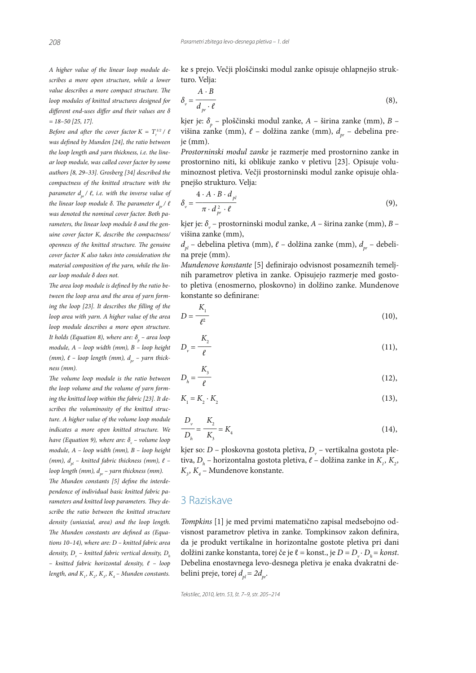*208*

A higher value of the linear loop module describes a more open structure, while a lower value describes a more compact structure. The loop modules of knitted structures designed for different end-uses differ and their values are  $\delta$  $= 18 - 50$  [25, 17].

Before and after the cover factor  $K = T_t^{\frac{1}{2}}$  /  $\ell$ was defined by Munden  $[24]$ , the ratio between the loop length and yarn thickness, i.e. the linear loop module, was called cover factor by some authors [8, 29–33]. Grosberg [34] described the compactness of the knitted structure with the parameter  $d_{pr}^{\phantom{\dag}}/$  l, i.e. with the inverse value of the linear loop module δ. The parameter  $d_{_{pr}}/$   $\ell$ was denoted the nominal cover factor. Both parameters, the linear loop module δ and the genuine cover factor K, describe the compactness/ openness of the knitted structure. The genuine cover factor K also takes into consideration the material composition of the yarn, while the linear loop module δ does not.

The area loop module is defined by the ratio between the loop area and the area of yarn forming the loop  $[23]$ . It describes the filling of the loop area with yarn. A higher value of the area loop module describes a more open structure. It holds (Equation 8), where are:  $\delta_{_{p}}$  – area loop module, A – loop width (mm), B – loop height (mm),  $\ell$  – loop length (mm),  $d_{pr}$  – yarn thickness (mm).

The volume loop module is the ratio between the loop volume and the volume of yarn forming the knitted loop within the fabric [23]. It describes the voluminosity of the knitted structure. A higher value of the volume loop module indicates a more open knitted structure. We have (Equation 9), where are:  $\delta_{\rm v}$  – volume loop module, A – loop width (mm), B – loop height (mm),  $d_{nl}$  – knitted fabric thickness (mm),  $\ell$  – loop length (mm),  $d_{pr}$  – yarn thickness (mm).

The Munden constants  $[5]$  define the interdependence of individual basic knitted fabric parameters and knitted loop parameters. They describe the ratio between the knitted structure density (uniaxial, area) and the loop length. The Munden constants are defined as (Equations 10–14), where are: D – knitted fabric area density,  $D_{_{\mathrm{v}}}$  – knitted fabric vertical density,  $D_{_{h}}$  $-$  knitted fabric horizontal density,  $\ell$  - loop length, and  $K_1, K_2, K_3, K_4$  – Munden constants.

ke s prejo. Večji ploščinski modul zanke opisuje ohlapnejšo strukturo. Velja:

$$
\delta_{v} = \frac{A \cdot B}{d_{pr} \cdot \ell} \tag{8}
$$

kjer je:  $\delta_p$  – ploščinski modul zanke, A – širina zanke (mm), B – višina zanke (mm),  $\ell$  – dolžina zanke (mm),  $d_{pr}$  – debelina preje (mm).

Prostorninski modul zanke je razmerje med prostornino zanke in prostornino niti, ki oblikuje zanko v pletivu [23]. Opisuje voluminoznost pletiva. Večji prostorninski modul zanke opisuje ohlapnejšo strukturo. Velja:

$$
\delta_{v} = \frac{4 \cdot A \cdot B \cdot d_{pl}}{\pi \cdot d_{pr}^{2} \cdot \ell} \tag{9},
$$

kjer je:  $\delta_{\rm v}$  – prostorninski modul zanke, A – širina zanke (mm), B – višina zanke (mm),

 $d_{pl}$  – debelina pletiva (mm),  $\ell$  – dolžina zanke (mm),  $d_{pr}$  – debelina preje (mm).

Mundenove konstante [5] definirajo odvisnost posameznih temeljnih parametrov pletiva in zanke. Opisujejo razmerje med gostoto pletiva (enosmerno, ploskovno) in dolžino zanke. Mundenove konstante so definirane:

$$
D = \frac{K_1}{\ell^2} \tag{10}
$$

$$
D_v = \frac{K_2}{\ell} \tag{11},
$$

$$
D_h = \frac{K_s}{\ell} \tag{12}
$$

$$
K_{1} = K_{2} \cdot K_{2} \tag{13}
$$

$$
\frac{D_{\nu}}{D_{h}} = \frac{K_{2}}{K_{3}} = K_{4}
$$
 (14),

kjer so:  $D$  – ploskovna gostota pletiva,  $D_{_{\rm v}}$  – vertikalna gostota pletiva,  $D_h$  – horizontalna gostota pletiva,  $\ell$  – dolžina zanke in  $K_{_1},$   $K_{_2},$  $K_{3}$ ,  $K_{4}$  – Mundenove konstante.

## 3 Raziskave

Tompkins [1] je med prvimi matematično zapisal medsebojno odvisnost parametrov pletiva in zanke. Tompkinsov zakon definira, da je produkt vertikalne in horizontalne gostote pletiva pri dani dolžini zanke konstanta, torej če je  $\ell$  = konst., je  $D = D_{v} \cdot D_{h} =$  konst. Debelina enostavnega levo-desnega pletiva je enaka dvakratni debelini preje, torej  $d_{pl} = 2d_{pr}$ .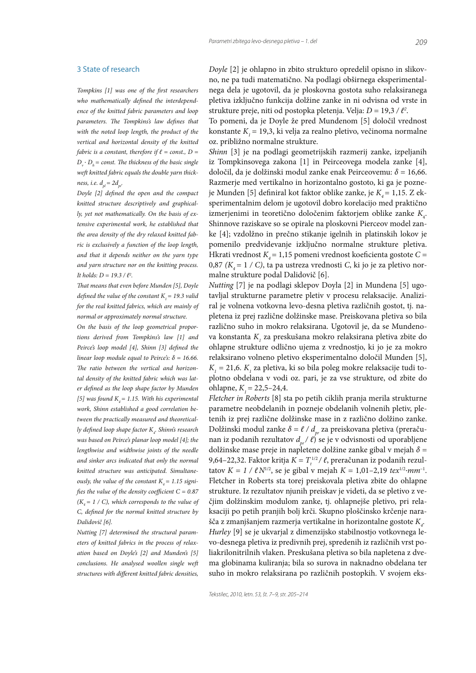#### 3 State of research

Tompkins [1] was one of the first researchers who mathematically defined the interdependence of the knitted fabric parameters and loop parameters. The Tompkins's law defines that with the noted loop length, the product of the vertical and horizontal density of the knitted fabric is a constant, therefore if  $\ell$  = const., D =  $D_{\mu} \cdot D_{\mu}$  = const. The thickness of the basic single weft knitted fabric equals the double varn thickness, *i.e.*  $d_{ol} = 2d_{ol}$ 

Doyle [2] defined the open and the compact knitted structure descriptively and graphically, yet not mathematically. On the basis of extensive experimental work, he established that the area density of the dry relaxed knitted fabric is exclusively a function of the loop length, and that it depends neither on the yarn type and yarn structure nor on the knitting process. It holds:  $D = 19.3 / l^2$ .

That means that even before Munden [5], Doyle defined the value of the constant  $K = 19.3$  valid for the real knitted fabrics, which are mainly of normal or approximately normal structure.

On the basis of the loop geometrical proportions derived from Tompkins's law [1] and Peirce's loop model [4], Shinn [3] defined the linear loop module equal to Peirce's:  $\delta$  = 16.66. The ratio between the vertical and horizontal density of the knitted fabric which was later defined as the loop shape factor by Munden [5] was found  $K = 1.15$ . With his experimental work, Shinn established a good correlation between the practically measured and theoretically defined loop shape factor K . Shinn's research was based on Peirce's planar loop model [4]; the lengthwise and widthwise joints of the needle and sinker arcs indicated that only the normal knitted structure was anticipated. Simultaneously, the value of the constant  $K = 1.15$  signifies the value of the density coefficient  $C = 0.87$  $(K<sub>a</sub> = 1 / C)$ , which corresponds to the value of C, defined for the normal knitted structure by Dalidovič [6].

Nutting [7] determined the structural parameters of knitted fabrics in the process of relaxation based on Doyle's [2] and Munden's [5] conclusions. He analysed woollen single weft structures with different knitted fabric densities, Dovle [2] ie ohlapno in zbito strukturo opredelil opisno in slikovno, ne pa tudi matematično. Na podlagi obširnega eksperimentalnega dela je ugotovil, da je ploskovna gostota suho relaksiranega pletiva izključno funkcija dolžine zanke in ni odvisna od vrste in strukture preje, niti od postopka pletenja. Velja:  $D = 19,3 / l^2$ .

To pomeni, da je Doyle že pred Mundenom [5] določil vrednost konstante  $K_i$  = 19,3, ki velja za realno pletivo, večinoma normalne oz. približno normalne strukture.

Shinn [3] je na podlagi geometrijskih razmerij zanke, izpeljanih iz Tompkinsovega zakona [1] in Peirceovega modela zanke [4], določil, da je dolžinski modul zanke enak Peirceovemu:  $\delta$  = 16,66. Razmerje med vertikalno in horizontalno gostoto, ki ga je pozneje Munden [5] definiral kot faktor oblike zanke, je  $K_a = 1,15$ . Z eksperimentalnim delom je ugotovil dobro korelacijo med praktično izmerjenimi in teoretično določenim faktorjem oblike zanke  $K_{\mu}$ . Shinnove raziskave so se opirale na ploskovni Pierceov model zanke [4]; vzdolžno in prečno stikanje igelnih in platinskih lokov je pomenilo predvidevanje izključno normalne strukture pletiva. Hkrati vrednost  $K_a$  = 1,15 pomeni vrednost koeficienta gostote C = 0,87 ( $K_a$  = 1 / C), ta pa ustreza vrednosti C, ki jo je za pletivo normalne strukture podal Dalidovič [6].

Nutting [7] je na podlagi sklepov Doyla [2] in Mundena [5] ugotavljal strukturne parametre pletiv v procesu relaksacije. Analiziral je volnena votkovna levo-desna pletiva različnih gostot, tj. napletena iz prej različne dolžinske mase. Preiskovana pletiva so bila različno suho in mokro relaksirana. Ugotovil je, da se Mundenova konstanta K, za preskušana mokro relaksirana pletiva zbite do ohlapne strukture odlično ujema z vrednostjo, ki jo je za mokro relaksirano volneno pletivo eksperimentalno določil Munden [5],  $K_i = 21.6$ .  $K_i$  za pletiva, ki so bila poleg mokre relaksacije tudi toplotno obdelana v vodi oz. pari, je za vse strukture, od zbite do ohlapne,  $K_i = 22,5-24,4$ .

Fletcher in Roberts [8] sta po petih ciklih pranja merila strukturne parametre neobdelanih in pozneje obdelanih volnenih pletiv, pletenih iz prej različne dolžinske mase in z različno dolžino zanke. Dolžinski modul zanke $\delta = \ell / d_{pr}$ za preiskovana pletiva (preračunan iz podanih rezultatov  $d_{pr}(\ell)$  se je v odvisnosti od uporabljene dolžinske mase preje in napletene dolžine zanke gibal v mejah  $\delta$  = 9,64–22,32. Faktor kritja  $K = T^{1/2}_{\tau}/\ell$ , preračunan iz podanih rezultatov  $K = 1 / \ell N^{1/2}$ , se je gibal v mejah  $K = 1,01-2,19$  tex<sup>1/2</sup>·mm<sup>-1</sup>. Fletcher in Roberts sta torej preiskovala pletiva zbite do ohlapne strukture. Iz rezultatov njunih preiskav je videti, da se pletivo z večjim dolžinskim modulom zanke, tj. ohlapnejše pletivo, pri relaksaciji po petih pranjih bolj krči. Skupno ploščinsko krčenje narašča z zmanjšanjem razmerja vertikalne in horizontalne gostote  $K<sub>c</sub>$ . Hurley [9] se je ukvarjal z dimenzijsko stabilnostjo votkovnega levo-desnega pletiva iz predivnih prej, spredenih iz različnih vrst poliakrilonitrilnih vlaken. Preskušana pletiva so bila napletena z dvema globinama kuliranja; bila so surova in naknadno obdelana ter suho in mokro relaksirana po različnih postopkih. V svojem eks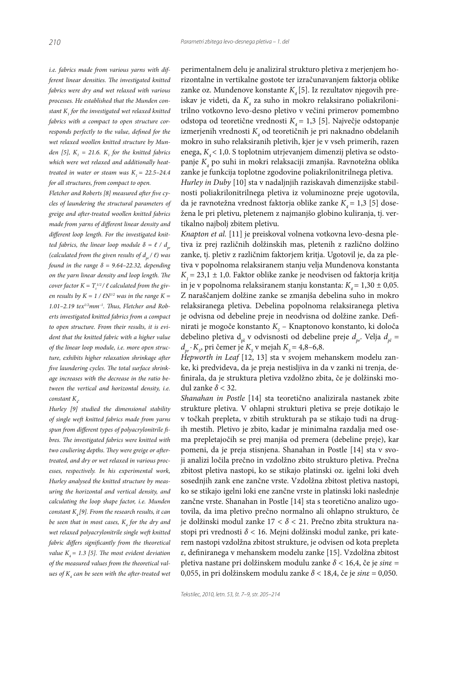i.e. fabrics made from various yarns with different linear densities. The investigated knitted fabrics were dry and wet relaxed with various processes. He established that the Munden constant  $K_{_I}$  for the investigated wet relaxed knitted fabrics with a compact to open structure corresponds perfectly to the value, defined for the wet relaxed woollen knitted structure by Munden [5],  $K_1 = 21.6$ .  $K_1$  for the knitted fabrics which were wet relaxed and additionally heattreated in water or steam was  $K = 22.5-24.4$ for all structures, from compact to open.

Fletcher and Roberts  $[8]$  measured after five cycles of laundering the structural parameters of greige and after-treated woollen knitted fabrics made from yarns of different linear density and different loop length. For the investigated knitted fabrics, the linear loop module  $\delta = \ell / d_{\gamma}$ (calculated from the given results of  $d_{pr}^{\dagger}/\ell$ ) was found in the range  $\delta = 9.64 - 22.32$ , depending on the yarn linear density and loop length. The cover factor  $K = T_t^{1/2}/\ell$  calculated from the given results by  $K = 1 / \ell N^{1/2}$  was in the range  $K =$ 1.01-2.19 tex $1/2$ mm<sup>-1</sup>. Thus, Fletcher and Roberts investigated knitted fabrics from a compact to open structure. From their results, it is evident that the knitted fabric with a higher value of the linear loop module, i.e. more open structure, exhibits higher relaxation shrinkage after five laundering cycles. The total surface shrinkage increases with the decrease in the ratio between the vertical and horizontal density, i.e. constant  $K_{\underline{A}}$ .

Hurley [9] studied the dimensional stability of single weft knitted fabrics made from yarns spun from different types of polyacrylonitrile fibres. The investigated fabrics were knitted with two couliering depths. They were greige or aftertreated, and dry or wet relaxed in various processes, respectively. In his experimental work, Hurley analysed the knitted structure by measuring the horizontal and vertical density, and calculating the loop shape factor, i.e. Munden constant  $K_{4}[9]$ . From the research results, it can be seen that in most cases,  $K_{_4}$  for the dry and wet relaxed polyacrylonitrile single weft knitted fabric differs significantly from the theoretical value  $K<sub>4</sub> = 1.3$  [5]. The most evident deviation of the measured values from the theoretical values of  $K_{\scriptscriptstyle 4}$  can be seen with the after-treated wet

perimentalnem delu je analiziral strukturo pletiva z merjenjem horizontalne in vertikalne gostote ter izračunavanjem faktorja oblike zanke oz. Mundenove konstante  $K_4[5]$ . Iz rezultatov njegovih preiskav je videti, da  $K_{\!{}_4}$  za suho in mokro relaksirano poliakrilonitrilno votkovno levo-desno pletivo v večini primerov pomembno odstopa od teoretične vrednosti  $K_4 = 1,3$  [5]. Največje odstopanje izmerjenih vrednosti  $K_{\!{}_4}$  od teoretičnih je pri naknadno obdelanih mokro in suho relaksiranih pletivih, kjer je v vseh primerih, razen enega, $K_{\!{}_4}\!\!<1\!,0$ . S toplotnim utrjevanjem dimenzij pletiva se odstopanje  $K_{\!{}_4}$  po suhi in mokri relaksaciji zmanjša. Ravnotežna oblika zanke je funkcija toplotne zgodovine poliakrilonitrilnega pletiva.

Hurley in Duby [10] sta v nadaljnjih raziskavah dimenzijske stabilnosti poliakrilonitrilnega pletiva iz voluminozne preje ugotovila, da je ravnotežna vrednost faktorja oblike zanke  $K<sub>a</sub> = 1,3$  [5] dosežena le pri pletivu, pletenem z najmanjšo globino kuliranja, tj. vertikalno najbolj zbitem pletivu.

Knapton et al. [11] je preiskoval volnena votkovna levo-desna pletiva iz prej različnih dolžinskih mas, pletenih z različno dolžino zanke, tj. pletiv z različnim faktorjem kritja. Ugotovil je, da za pletiva v popolnoma relaksiranem stanju velja Mundenova konstanta  $K<sub>1</sub> = 23.1 \pm 1.0$ . Faktor oblike zanke je neodvisen od faktorja kritja in je v popolnoma relaksiranem stanju konstanta:  $K<sub>a</sub> = 1,30 \pm 0,05$ . Z naraščanjem dolžine zanke se zmanjša debelina suho in mokro relaksiranega pletiva. Debelina popolnoma relaksiranega pletiva je odvisna od debeline preje in neodvisna od dolžine zanke. Definirati je mogoče konstanto $K_{\!_5}$ – Knaptonovo konstanto, ki določa debelino pletiva d<sub>pl</sub> v odvisnosti od debeline preje  $d_{pr}$ . Velja  $d_{pl}$  =  $d_{pr}$  ·  $K_s$ , pri čemer je  $K_s$  v mejah  $K_s = 4,8$ –6,8.

Hepworth in Leaf  $[12, 13]$  sta v svojem mehanskem modelu zanke, ki predvideva, da je preja nestisljiva in da v zanki ni trenja, definirala, da je struktura pletiva vzdolžno zbita, če je dolžinski modul zanke  $\delta$  < 32.

Shanahan in Postle [14] sta teoretično analizirala nastanek zbite strukture pletiva. V ohlapni strukturi pletiva se preje dotikajo le v točkah prepleta, v zbitih strukturah pa se stikajo tudi na drugih mestih. Pletivo je zbito, kadar je minimalna razdalja med osema prepletajočih se prej manjša od premera (debeline preje), kar pomeni, da je preja stisnjena. Shanahan in Postle [14] sta v svoji analizi ločila prečno in vzdolžno zbito strukturo pletiva. Prečna zbitost pletiva nastopi, ko se stikajo platinski oz. igelni loki dveh sosednjih zank ene zančne vrste. Vzdolžna zbitost pletiva nastopi, ko se stikajo igelni loki ene zančne vrste in platinski loki naslednje zančne vrste. Shanahan in Postle [14] sta s teoretično analizo ugotovila, da ima pletivo prečno normalno ali ohlapno strukturo, če je dolžinski modul zanke 17 <  $\delta$  < 21. Prečno zbita struktura nastopi pri vrednosti  $\delta$  < 16. Mejni dolžinski modul zanke, pri katerem nastopi vzdolžna zbitost strukture, je odvisen od kota prepleta ε, definiranega v mehanskem modelu zanke [15]. Vzdolžna zbitost pletiva nastane pri dolžinskem modulu zanke  $\delta$  < 16,4, če je sine = 0,055, in pri dolžinskem modulu zanke  $\delta$  < 18,4, če je sin $\varepsilon$  = 0,050.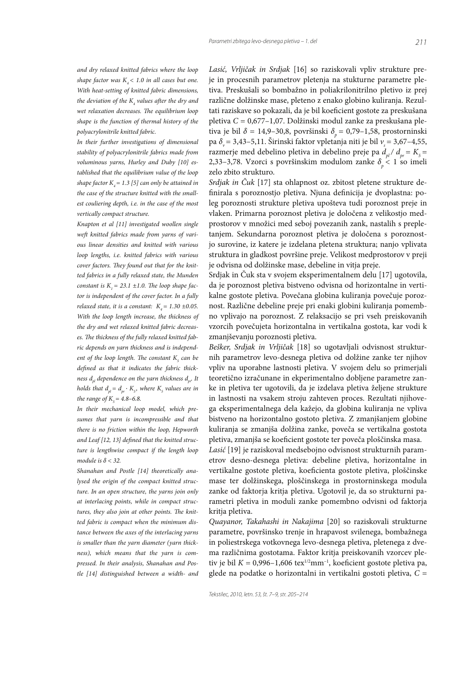and dry relaxed knitted fabrics where the loop shape factor was  $K_a < 1.0$  in all cases but one. With heat-setting of knitted fabric dimensions, the deviation of the  $K$ , values after the dry and wet relaxation decreases. The equilibrium loop shape is the function of thermal history of the polyacrylonitrile knitted fabric.

In their further investigations of dimensional stability of polyacrylonitrile fabrics made from voluminous yarns, Hurley and Duby [10] established that the equilibrium value of the loop shape factor  $K_a = 1.3$  [5] can only be attained in the case of the structure knitted with the smallest couliering depth, i.e. in the case of the most vertically compact structure.

Knapton et al [11] investigated woollen single weft knitted fabrics made from yarns of various linear densities and knitted with various loop lengths, i.e. knitted fabrics with various cover factors. They found out that for the knitted fabrics in a fully relaxed state, the Munden constant is  $K_i = 23.1 \pm 1.0$ . The loop shape factor is independent of the cover factor. In a fully relaxed state, it is a constant:  $K<sub>a</sub> = 1.30 \pm 0.05$ . With the loop length increase, the thickness of the dry and wet relaxed knitted fabric decreases. The thickness of the fully relaxed knitted fabric depends on yarn thickness and is independent of the loop length. The constant  $K<sub>5</sub>$  can be defined as that it indicates the fabric thickness  $d_{nl}$  dependence on the yarn thickness  $d_{nl}$ . It holds that  $d_{pl} = d_{pr} \cdot K_{5}$ , where  $K_{5}$  values are in the range of  $K = 4.8 - 6.8$ .

In their mechanical loop model, which presumes that yarn is incompressible and that there is no friction within the loop, Hepworth and Leaf [12, 13] defined that the knitted structure is lengthwise compact if the length loop module is  $\delta$  < 32.

Shanahan and Postle [14] theoretically analysed the origin of the compact knitted structure. In an open structure, the yarns join only at interlacing points, while in compact structures, they also join at other points. The knitted fabric is compact when the minimum distance between the axes of the interlacing yarns is smaller than the yarn diameter (yarn thickness), which means that the yarn is compressed. In their analysis, Shanahan and Postle [14] distinguished between a width- and Lasić, Vrljičak in Srdjak [16] so raziskovali vpliv strukture preje in procesnih parametrov pletenja na stukturne parametre pletiva. Preskušali so bombažno in poliakrilonitrilno pletivo iz prej različne dolžinske mase, pleteno z enako globino kuliranja. Rezultati raziskave so pokazali, da je bil koeficient gostote za preskušana pletiva  $C = 0.677 - 1.07$ . Dolžinski modul zanke za preskušana pletiva je bil  $\delta$  = 14,9-30,8, površinski  $\delta$  = 0,79-1,58, prostorninski pa  $\delta_y$  = 3,43–5,11. Širinski faktor vpletanja niti je bil  $v_s$  = 3,67–4,55, razmerje med debelino pletiva in debelino preje pa $d_{pl}$  /  $d_{pr}$  =  $K_s$  = 2,33–3,78. Vzorci s površinskim modulom zanke  $\delta_{\scriptscriptstyle n}$  < 1 so imeli zelo zbito strukturo.

Srdjak in Čuk [17] sta ohlapnost oz. zbitost pletene strukture definirala s poroznostjo pletiva. Njuna definicija je dvoplastna: poleg poroznosti strukture pletiva upošteva tudi poroznost preje in vlaken. Primarna poroznost pletiva je določena z velikostjo medprostorov v množici med seboj povezanih zank, nastalih s prepletanjem. Sekundarna poroznost pletiva je določena s poroznostjo surovine, iz katere je izdelana pletena struktura; nanjo vplivata struktura in gladkost površine preje. Velikost medprostorov v preji je odvisna od dolžinske mase, debeline in vitja preje.

Srdjak in Čuk sta v svojem eksperimentalnem delu [17] ugotovila, da je poroznost pletiva bistveno odvisna od horizontalne in vertikalne gostote pletiva. Povečana globina kuliranja povečuje poroznost. Različne debeline preje pri enaki globini kuliranja pomembno vplivajo na poroznost. Z relaksacijo se pri vseh preiskovanih vzorcih povečujeta horizontalna in vertikalna gostota, kar vodi k zmanjševanju poroznosti pletiva.

Bešker, Srdjak in Vrljičak [18] so ugotavljali odvisnost strukturnih parametrov levo-desnega pletiva od dolžine zanke ter njihov vpliv na uporabne lastnosti pletiva. V svojem delu so primerjali teoretično izračunane in ekperimentalno dobljene parametre zanke in pletiva ter ugotovili, da je izdelava pletiva željene strukture in lastnosti na vsakem stroju zahteven proces. Rezultati njihovega eksperimentalnega dela kažejo, da globina kuliranja ne vpliva bistveno na horizontalno gostoto pletiva. Z zmanjšanjem globine kuliranja se zmanjša dolžina zanke, poveča se vertikalna gostota pletiva, zmanjša se koeficient gostote ter poveča ploščinska masa.

Lasić [19] je raziskoval medsebojno odvisnost strukturnih parametrov desno-desnega pletiva: debeline pletiva, horizontalne in vertikalne gostote pletiva, koeficienta gostote pletiva, ploščinske mase ter dolžinskega, ploščinskega in prostorninskega modula zanke od faktorja kritja pletiva. Ugotovil je, da so strukturni parametri pletiva in moduli zanke pomembno odvisni od faktorja kritja pletiva.

Quayanor, Takahashi in Nakajima [20] so raziskovali strukturne parametre, površinsko trenje in hrapavost svilenega, bombažnega in poliestrskega votkovnega levo-desnega pletiva, pletenega z dvema različnima gostotama. Faktor kritja preiskovanih vzorcev pletiv je bil  $K = 0.996 - 1.606$  tex<sup>1/2</sup>mm<sup>-1</sup>, koeficient gostote pletiva pa, glede na podatke o horizontalni in vertikalni gostoti pletiva,  $C =$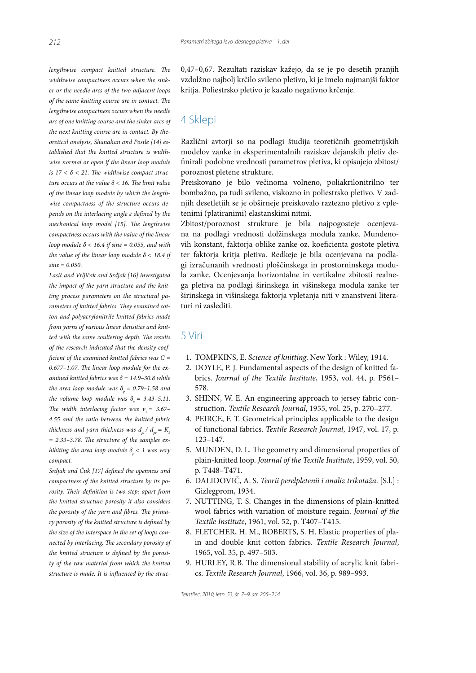$lengthwise$  compact knitted structure. The widthwise compactness occurs when the sinker or the needle arcs of the two adjacent loops of the same knitting course are in contact. The lengthwise compactness occurs when the needle arc of one knitting course and the sinker arcs of the next knitting course are in contact. By theoretical analysis, Shanahan and Postle [14] established that the knitted structure is widthwise normal or open if the linear loop module is  $17 < \delta < 21$ . The widthwise compact structure occurs at the value  $\delta$  < 16. The limit value of the linear loop module by which the lengthwise compactness of the structure occurs depends on the interlacing angle ε defined by the mechanical loop model  $[15]$ . The lengthwise compactness occurs with the value of the linear loop module  $\delta$  < 16.4 if sine = 0.055, and with the value of the linear loop module  $\delta$  < 18.4 if  $\sin \varepsilon = 0.050$ .

Lasić and Vrljičak and Srdjak [16] investigated the impact of the yarn structure and the knitting process parameters on the structural parameters of knitted fabrics. They examined cotton and polyacrylonitrile knitted fabrics made from yarns of various linear densities and knitted with the same couliering depth. The results of the research indicated that the density coef ficient of the examined knitted fabrics was  $C =$  $0.677-1.07$ . The linear loop module for the examined knitted fabrics was  $\delta$  = 14.9-30.8 while the area loop module was  $\delta_p$  = 0.79–1.58 and the volume loop module was  $\delta_{v} = 3.43 - 5.11$ . The width interlacing factor was  $v_s = 3.67 -$ 4.55 and the ratio between the knitted fabric thickness and yarn thickness was  $d_{\rho l}^{\phantom{\dag}}/\phantom{d}_{\rho r}^{\phantom{\dag}}=K_{_5}^{\phantom{\dag}}$  $= 2.33 - 3.78$ . The structure of the samples exhibiting the area loop module  $\delta_{p}^{} < 1$  was very compact.

Srdjak and Čuk [17] defined the openness and compactness of the knitted structure by its porosity. Their definition is two-step: apart from the knitted structure porosity it also considers the porosity of the yarn and fibres. The primary porosity of the knitted structure is defined by the size of the interspace in the set of loops connected by interlacing. The secondary porosity of the knitted structure is defined by the porosity of the raw material from which the knitted structure is made. It is influenced by the struc0,47-0,67. Rezultati raziskav kažejo, da se je po desetih pranjih vzdolžno najbolj krčilo svileno pletivo, ki je imelo najmanjši faktor kritja. Poliestrsko pletivo je kazalo negativno krčenje.

## 4 Sklepi

Različni avtorji so na podlagi študija teoretičnih geometrijskih modelov zanke in eksperimentalnih raziskav dejanskih pletiv definirali podobne vrednosti parametrov pletiva, ki opisujejo zbitost/ poroznost pletene strukture.

Preiskovano je bilo večinoma volneno, poliakrilonitrilno ter bombažno, pa tudi svileno, viskozno in poliestrsko pletivo. V zadnjih desetletjih se je obširneje preiskovalo raztezno pletivo z vpletenimi (platiranimi) elastanskimi nitmi.

Zbitost/poroznost strukture je bila najpogosteje ocenjevana na podlagi vrednosti dolžinskega modula zanke, Mundenovih konstant, faktorja oblike zanke oz. koeficienta gostote pletiva ter faktorja kritja pletiva. Redkeje je bila ocenjevana na podlagi izračunanih vrednosti ploščinskega in prostorninskega modula zanke. Ocenjevanja horizontalne in vertikalne zbitosti realnega pletiva na podlagi širinskega in višinskega modula zanke ter širinskega in višinskega faktorja vpletanja niti v znanstveni literaturi ni zaslediti.

#### 5 Viri

- 1. TOMPKINS, E. Science of knitting. New York: Wiley, 1914.
- 2. DOYLE, P. J. Fundamental aspects of the design of knitted fabrics. Journal of the Textile Institute, 1953, vol. 44, p. P561-578.
- 3. SHINN, W. E. An engineering approach to jersey fabric construction. Textile Research Journal, 1955, vol. 25, p. 270-277.
- 4. PEIRCE, F. T. Geometrical principles applicable to the design of functional fabrics. Textile Research Journal, 1947, vol. 17, p.  $123 - 147.$
- 5. MUNDEN, D. L. The geometry and dimensional properties of plain-knitted loop. Journal of the Textile Institute, 1959, vol. 50, p. T448-T471.
- 6. DALIDOVIČ, A. S. Teorii perelpletenii i analiz trikotaža. [S.l.] : Gizlegprom, 1934.
- 7. NUTTING, T. S. Changes in the dimensions of plain-knitted wool fabrics with variation of moisture regain. Journal of the Textile Institute, 1961, vol. 52, p. T407-T415.
- 8. FLETCHER, H. M., ROBERTS, S. H. Elastic properties of plain and double knit cotton fabrics. Textile Research Journal, 1965, vol. 35, p. 497-503.
- 9. HURLEY, R.B. The dimensional stability of acrylic knit fabrics. Textile Research Journal, 1966, vol. 36, p. 989-993.

*Tekstilec, 2010, letn. 53, št. 7–9, str. 205–214*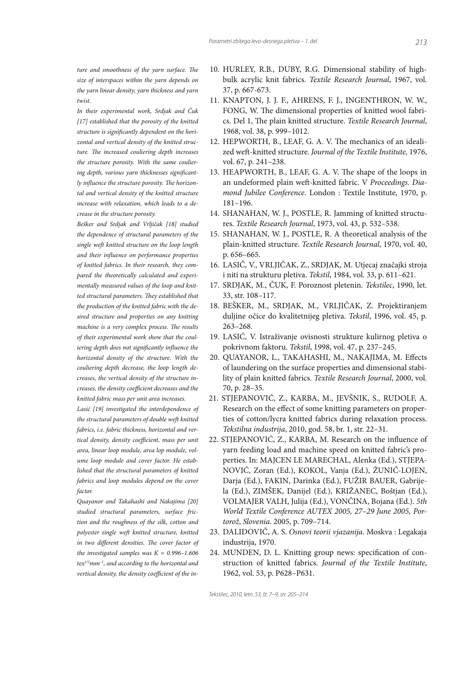ture and smoothness of the varn surface. The size of interspaces within the yarn depends on the yarn linear density, yarn thickness and yarn twist.

In their experimental work, Srdjak and Čuk [17] established that the porosity of the knitted structure is significantly dependent on the horizontal and vertical density of the knitted structure. The increased couliering depth increases the structure porosity. With the same couliering depth, various varn thicknesses significantly influence the structure porosity. The horizontal and vertical density of the knitted structure increase with relaxation, which leads to a decrease in the structure porosity.

Bešker and Srdjak and Vrljičak [18] studied the dependence of structural parameters of the single weft knitted structure on the loop length and their influence on performance properties of knitted fabrics. In their research, they compared the theoretically calculated and experimentally measured values of the loop and knitted structural parameters. They established that the production of the knitted fabric with the desired structure and properties on any knitting machine is a very complex process. The results of their experimental work show that the couliering depth does not significantly influence the horizontal density of the structure. With the couliering depth decrease, the loop length decreases, the vertical density of the structure increases, the density coefficient decreases and the knitted fabric mass per unit area increases.

Lasić [19] investigated the interdependence of the structural parameters of double weft knitted fabrics, i.e. fabric thickness, horizontal and vertical density, density coefficient, mass per unit area, linear loop module, area lop module, volume loop module and cover factor. He established that the structural parameters of knitted fabrics and loop modules depend on the cover factor

Quayanor and Takahashi and Nakajima [20] studied structural parameters, surface friction and the roughness of the silk, cotton and polyester single weft knitted structure, knitted in two different densities. The cover factor of the investigated samples was  $K = 0.996 - 1.606$  $text^{1/2}mm^{-1}$ , and according to the horizontal and vertical density, the density coefficient of the in-

- 10. HURLEY, R.B., DUBY, R.G. Dimensional stability of highbulk acrylic knit fabrics. Textile Research Journal, 1967, vol. 37, p. 667-673.
- 11. KNAPTON, J. J. F., AHRENS, F. J., INGENTHRON, W. W., FONG, W. The dimensional properties of knitted wool fabrics. Del 1, The plain knitted structure. Textile Research Journal, 1968, vol. 38, p. 999-1012.
- 12. HEPWORTH, B., LEAF, G. A. V. The mechanics of an idealized weft-knitted structure. Journal of the Textile Institute, 1976, vol. 67, p. 241-238.
- 13. HEAPWORTH, B., LEAF, G. A. V. The shape of the loops in an undeformed plain weft-knitted fabric. V Proceedings. Diamond Jubilee Conference. London : Textile Institute, 1970, p.  $181 - 196.$
- 14. SHANAHAN, W. J., POSTLE, R. Jamming of knitted structures. Textile Research Journal, 1973, vol. 43, p. 532-538.
- 15. SHANAHAN, W. J., POSTLE, R. A theoretical analysis of the plain-knitted structure. Textile Research Journal, 1970, vol. 40, p. 656-665.
- 16. LASIČ, V., VRLJIČAK, Z., SRDJAK, M. Utjecaj značajki stroja i niti na strukturu pletiva. Tekstil, 1984, vol. 33, p. 611-621.
- 17. SRDJAK, M., ČUK, F. Poroznost pletenin. Tekstilec, 1990, let. 33, str. 108-117.
- 18. BEŠKER, M., SRDJAK, M., VRLJIČAK, Z. Projektiranjem duljine očice do kvalitetnijeg pletiva. Tekstil, 1996, vol. 45, p.  $263 - 268.$
- 19. LASIĆ, V. Istraživanje ovisnosti strukture kulirnog pletiva o pokrivnom faktoru. Tekstil, 1998, vol. 47, p. 237-245.
- 20. QUAYANOR, L., TAKAHASHI, M., NAKAJIMA, M. Effects of laundering on the surface properties and dimensional stability of plain knitted fabrics. Textile Research Journal, 2000, vol. 70, p. 28-35.
- 21. STJEPANOVIĆ, Z., KARBA, M., JEVŠNIK, S., RUDOLF, A. Research on the effect of some knitting parameters on properties of cotton/lycra knitted fabrics during relaxation process. Tekstilna industrija, 2010, god. 58, br. 1, str. 22-31.
- 22. STJEPANOVIĆ, Z., KARBA, M. Research on the influence of yarn feeding load and machine speed on knitted fabric's properties. In: MAJCEN LE MARECHAL, Alenka (Ed.), STJEPA-NOVIĆ, Zoran (Ed.), KOKOL, Vanja (Ed.), ŽUNIČ-LOJEN, Darja (Ed.), FAKIN, Darinka (Ed.), FUŽIR BAUER, Gabrijela (Ed.), ZIMŠEK, Danijel (Ed.), KRIŽANEC, Boštjan (Ed.), VOLMAJER VALH, Julija (Ed.), VONČINA, Bojana (Ed.). 5th World Textile Conference AUTEX 2005, 27-29 June 2005, Portorož, Slovenia. 2005, p. 709-714.
- 23. DALIDOVIČ, A. S. Osnovi teorii vjazanija. Moskva : Legakaja industrija, 1970.
- 24. MUNDEN, D. L. Knitting group news: specification of construction of knitted fabrics. Journal of the Textile Institute, 1962, vol. 53, p. P628-P631.

Tekstilec, 2010, letn. 53, št. 7-9, str. 205-214